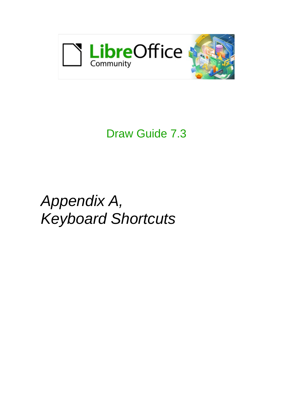

## Draw Guide 7.3

# *Appendix A, Keyboard Shortcuts*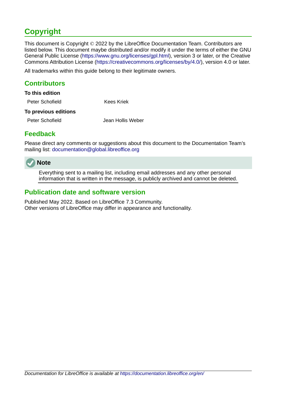## <span id="page-1-3"></span>**Copyright**

This document is Copyright © 2022 by the LibreOffice Documentation Team. Contributors are listed below. This document maybe distributed and/or modify it under the terms of either the GNU General Public License (<https://www.gnu.org/licenses/gpl.html>), version 3 or later, or the Creative Commons Attribution License (<https://creativecommons.org/licenses/by/4.0/>), version 4.0 or later.

All trademarks within this guide belong to their legitimate owners.

#### <span id="page-1-2"></span>**Contributors**

| To this edition             |            |
|-----------------------------|------------|
| Peter Schofield             | Kees Kriek |
| <b>To previous editions</b> |            |

Peter Schofield Jean Hollis Weber

#### <span id="page-1-1"></span>**Feedback**

Please direct any comments or suggestions about this document to the Documentation Team's mailing list: [documentation@global.libreoffice.org](mailto:documentation@global.libreoffice.org)



Everything sent to a mailing list, including email addresses and any other personal information that is written in the message, is publicly archived and cannot be deleted.

#### <span id="page-1-0"></span>**Publication date and software version**

Published May 2022. Based on LibreOffice 7.3 Community. Other versions of LibreOffice may differ in appearance and functionality.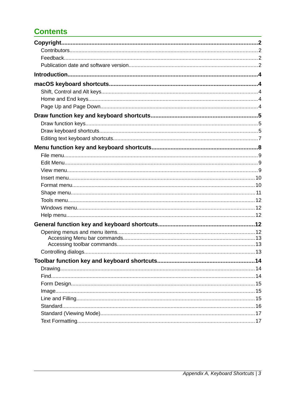## **Contents**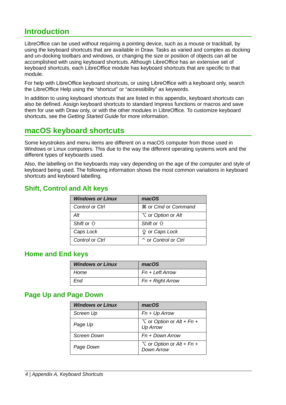## <span id="page-3-4"></span>**Introduction**

LibreOffice can be used without requiring a pointing device, such as a mouse or trackball, by using the keyboard shortcuts that are available in Draw. Tasks as varied and complex as docking and un-docking toolbars and windows, or changing the size or position of objects can all be accomplished with using keyboard shortcuts. Although LibreOffice has an extensive set of keyboard shortcuts, each LibreOffice module has keyboard shortcuts that are specific to that module.

For help with LibreOffice keyboard shortcuts, or using LibreOffice with a keyboard only, search the LibreOffice Help using the "shortcut" or "accessibility" as keywords.

In addition to using keyboard shortcuts that are listed in this appendix, keyboard shortcuts can also be defined. Assign keyboard shortcuts to standard Impress functions or macros and save them for use with Draw only, or with the other modules in LibreOffice. To customize keyboard shortcuts, see the *Getting Started Guide* for more information.

### <span id="page-3-3"></span>**macOS keyboard shortcuts**

Some keystrokes and menu items are different on a macOS computer from those used in Windows or Linux computers. This due to the way the different operating systems work and the different types of keyboards used.

Also, the labelling on the keyboards may vary depending on the age of the computer and style of keyboard being used. The following information shows the most common variations in keyboard shortcuts and keyboard labelling.

#### <span id="page-3-2"></span>**Shift, Control and Alt keys**

| <b>Windows or Linux</b> | macOS                                   |
|-------------------------|-----------------------------------------|
| Control or Ctrl         | ₦ or <i>Cmd</i> or <i>Command</i>       |
| Alt                     | <b>N</b> or <i>Option</i> or <i>Alt</i> |
| Shift or $\hat{U}$      | Shift or $\hat{U}$                      |
| Caps Lock               | <b>≙ or Caps Lock</b>                   |
| Control or Ctrl         | $\hat{C}$ or Control or Ctrl            |

#### <span id="page-3-1"></span>**Home and End keys**

| <b>Windows or Linux</b> | macOS            |
|-------------------------|------------------|
| Home                    | Fn + Left Arrow  |
| Fnd                     | Fn + Right Arrow |

#### <span id="page-3-0"></span>**Page Up and Page Down**

| <b>Windows or Linux</b> | macOS                                                                  |
|-------------------------|------------------------------------------------------------------------|
| Screen Up               | $Fn + Up Arrow$                                                        |
| Page Up                 | $\sum$ or <i>Option</i> or <i>Alt</i> + <i>Fn</i> +<br><b>Up Arrow</b> |
| Screen Down             | Fn + Down Arrow                                                        |
| Page Down               | $\sum$ or <i>Option</i> or <i>Alt</i> + <i>Fn</i> +<br>Down Arrow      |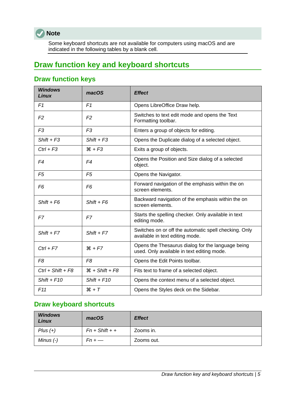

Some keyboard shortcuts are not available for computers using macOS and are indicated in the following tables by a blank cell.

## <span id="page-4-2"></span>**Draw function key and keyboard shortcuts**

## <span id="page-4-1"></span>**Draw function keys**

| <b>Windows</b><br>Linux | macOS                      | <b>Effect</b>                                                                                   |  |
|-------------------------|----------------------------|-------------------------------------------------------------------------------------------------|--|
| F1                      | F1                         | Opens LibreOffice Draw help.                                                                    |  |
| F <sub>2</sub>          | F <sub>2</sub>             | Switches to text edit mode and opens the Text<br>Formatting toolbar.                            |  |
| F <sub>3</sub>          | F <sub>3</sub>             | Enters a group of objects for editing.                                                          |  |
| $Shift + F3$            | $Shift + F3$               | Opens the Duplicate dialog of a selected object.                                                |  |
| $Ctrl + F3$             | $*F3$                      | Exits a group of objects.                                                                       |  |
| F4                      | F4                         | Opens the Position and Size dialog of a selected<br>object.                                     |  |
| F <sub>5</sub>          | F <sub>5</sub>             | Opens the Navigator.                                                                            |  |
| F6                      | F <sub>6</sub>             | Forward navigation of the emphasis within the on<br>screen elements.                            |  |
| $Shift + F6$            | $Shift + F6$               | Backward navigation of the emphasis within the on<br>screen elements.                           |  |
| F7                      | F7                         | Starts the spelling checker. Only available in text<br>editing mode.                            |  |
| $Shift + F7$            | $Shift + F7$               | Switches on or off the automatic spell checking. Only<br>available in text editing mode.        |  |
| $Ctrl + F7$             | $# + F7$                   | Opens the Thesaurus dialog for the language being<br>used. Only available in text editing mode. |  |
| F <sub>8</sub>          | F <sub>8</sub>             | Opens the Edit Points toolbar.                                                                  |  |
| $Ctrl + Shift + F8$     | $\mathcal{H}$ + Shift + F8 | Fits text to frame of a selected object.                                                        |  |
| $Shift + F10$           | $Shift + F10$              | Opens the context menu of a selected object.                                                    |  |
| F11                     | $*T$                       | Opens the Styles deck on the Sidebar.                                                           |  |

## <span id="page-4-0"></span>**Draw keyboard shortcuts**

| <b>Windows</b><br>Linux | macOS            | <b>Effect</b> |
|-------------------------|------------------|---------------|
| $Plus (+)$              | $Fn + Shift + +$ | Zooms in.     |
| Minus $(-)$             | $Fn \leftarrow$  | Zooms out.    |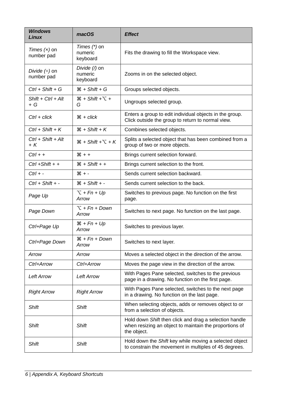| <b>Windows</b><br><b>Linux</b>   | macOS                                   | <b>Effect</b>                                                                                                                   |  |
|----------------------------------|-----------------------------------------|---------------------------------------------------------------------------------------------------------------------------------|--|
| Times $(x)$ on<br>number pad     | Times $(*)$ on<br>numeric<br>keyboard   | Fits the drawing to fill the Workspace view.                                                                                    |  |
| Divide $(\div)$ on<br>number pad | Divide (/) on<br>numeric<br>keyboard    | Zooms in on the selected object.                                                                                                |  |
| $Ctrl + Shift + G$               | $\mathcal{H}$ + Shift + G               | Groups selected objects.                                                                                                        |  |
| $Shift + Crit + Alt$<br>$+ G$    | $\mathcal{H}$ + Shift + $\Gamma$ +<br>G | Ungroups selected group.                                                                                                        |  |
| $Ctrl + click$                   | $\mathcal{H}$ + click                   | Enters a group to edit individual objects in the group.<br>Click outside the group to return to normal view.                    |  |
| $Ctrl + Shift + K$               | $H + Shift + K$                         | Combines selected objects.                                                                                                      |  |
| $Ctrl + Shift + Alt$<br>$+ K$    | $\mathcal{H}$ + Shift + $\Gamma$ + K    | Splits a selected object that has been combined from a<br>group of two or more objects.                                         |  |
| $Ctrl + +$                       | $* + 1$                                 | Brings current selection forward.                                                                                               |  |
| $Ctrl + Shift + +$               | $\mathcal{H}$ + Shift + +               | Brings current selection to the front.                                                                                          |  |
| $Ctrl + -$                       | $* - 36$                                | Sends current selection backward.                                                                                               |  |
| $Ctrl + Shift + -$               | $\mathcal{H}$ + Shift + -               | Sends current selection to the back.                                                                                            |  |
| Page Up                          | $T + Fn + Up$<br>Arrow                  | Switches to previous page. No function on the first<br>page.                                                                    |  |
| Page Down                        | $\Upsilon$ + Fn + Down<br>Arrow         | Switches to next page. No function on the last page.                                                                            |  |
| Ctrl+Page Up                     | $H + Fn + Up$<br>Arrow                  | Switches to previous layer.                                                                                                     |  |
| Ctrl+Page Down                   | $\mathcal{H}$ + Fn + Down<br>Arrow      | Switches to next layer.                                                                                                         |  |
| Arrow                            | Arrow                                   | Moves a selected object in the direction of the arrow.                                                                          |  |
| Ctrl+Arrow                       | Ctrl+Arrow                              | Moves the page view in the direction of the arrow.                                                                              |  |
| <b>Left Arrow</b>                | <b>Left Arrow</b>                       | With Pages Pane selected, switches to the previous<br>page in a drawing. No function on the first page.                         |  |
| <b>Right Arrow</b>               | <b>Right Arrow</b>                      | With Pages Pane selected, switches to the next page<br>in a drawing. No function on the last page.                              |  |
| <b>Shift</b>                     | <b>Shift</b>                            | When selecting objects, adds or removes object to or<br>from a selection of objects.                                            |  |
| <b>Shift</b>                     | <b>Shift</b>                            | Hold down Shift then click and drag a selection handle<br>when resizing an object to maintain the proportions of<br>the object. |  |
| <b>Shift</b>                     | <b>Shift</b>                            | Hold down the Shift key while moving a selected object<br>to constrain the movement in multiples of 45 degrees.                 |  |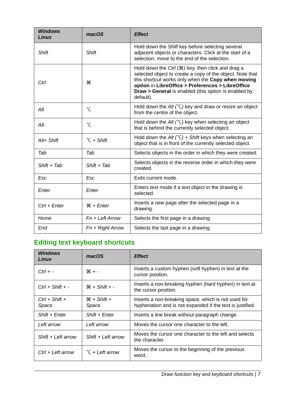| <b>Windows</b><br><b>Linux</b> | macOS                    | <b>Effect</b>                                                                                                                                                                                                                                                                                              |  |
|--------------------------------|--------------------------|------------------------------------------------------------------------------------------------------------------------------------------------------------------------------------------------------------------------------------------------------------------------------------------------------------|--|
| <b>Shift</b>                   | <b>Shift</b>             | Hold down the Shift key before selecting several<br>adjacent objects or characters. Click at the start of a<br>selection, move to the end of the selection.                                                                                                                                                |  |
| Ctrl                           | æ                        | Hold down the Ctrl $(\mathcal{H})$ key, then click and drag a<br>selected object to create a copy of the object. Note that<br>this shortcut works only when the Copy when moving<br>option in LibreOffice > Preferences > LibreOffice<br>Draw > General is enabled (this option is enabled by<br>default). |  |
| Alt                            | $\overline{\mathcal{N}}$ | Hold down the Alt $(\nabla)$ key and draw or resize an object<br>from the centre of the object.                                                                                                                                                                                                            |  |
| Alt                            | $\overline{\mathcal{N}}$ | Hold down the Alt $(\nabla)$ key when selecting an object<br>that is behind the currently selected object.                                                                                                                                                                                                 |  |
| Alt+ Shift                     | $\Upsilon$ + Shift       | Hold down the Alt $(\nabla)$ + Shift keys when selecting an<br>object that is in front of the currently selected object.                                                                                                                                                                                   |  |
| Tab                            | Tab                      | Selects objects in the order in which they were created.                                                                                                                                                                                                                                                   |  |
| $Shift + Tab$                  | $Shift + Tab$            | Selects objects in the reverse order in which they were<br>created.                                                                                                                                                                                                                                        |  |
| Esc                            | Esc                      | Exits current mode.                                                                                                                                                                                                                                                                                        |  |
| Enter                          | Enter                    | Enters text mode if a text object in the drawing is<br>selected.                                                                                                                                                                                                                                           |  |
| Ctrl + Enter                   | $\mathcal{H}$ + Enter    | Inserts a new page after the selected page in a<br>drawing.                                                                                                                                                                                                                                                |  |
| Home                           | $Fn + Left Arrow$        | Selects the first page in a drawing.                                                                                                                                                                                                                                                                       |  |
| End                            | $Fn + Right Arrow$       | Selects the last page in a drawing.                                                                                                                                                                                                                                                                        |  |

## <span id="page-6-0"></span>**Editing text keyboard shortcuts**

| <b>Windows</b><br>Linux   | macOS                     | <b>Effect</b>                                                                                                    |  |
|---------------------------|---------------------------|------------------------------------------------------------------------------------------------------------------|--|
| $Ctrl + -$                | $# + -$                   | Inserts a custom hyphen (soft hyphen) in text at the<br>cursor position.                                         |  |
| $Ctrl + Shift + -$        | $\mathcal{H}$ + Shift + - | Inserts a non-breaking hyphen (hard hyphen) in text at<br>the cursor position.                                   |  |
| $Ctrl + Shift +$<br>Space | $H + Shift +$<br>Space    | Inserts a non-breaking space, which is not used for<br>hyphenation and is not expanded if the text is justified. |  |
| Shift + Enter             | $Shift + Enter$           | Inserts a line break without paragraph change.                                                                   |  |
| Left arrow                | Left arrow                | Moves the cursor one character to the left.                                                                      |  |
| $Shift + Left arrow$      | Shift + Left arrow        | Moves the cursor one character to the left and selects<br>the character.                                         |  |
| Ctrl + Left arrow         | $\tau$ + Left arrow       | Moves the cursor to the beginning of the previous<br>word.                                                       |  |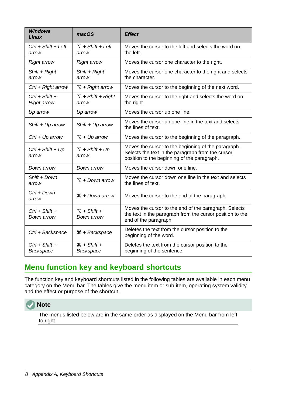| <b>Windows</b><br><b>Linux</b>           | macOS                               | <b>Effect</b>                                                                                                                                           |  |
|------------------------------------------|-------------------------------------|---------------------------------------------------------------------------------------------------------------------------------------------------------|--|
| $Ctrl + Shift + Left$<br>arrow           | $\Upsilon$ + Shift + Left<br>arrow  | Moves the cursor to the left and selects the word on<br>the left.                                                                                       |  |
| <b>Right arrow</b><br><b>Right arrow</b> |                                     | Moves the cursor one character to the right.                                                                                                            |  |
| Shift + Right<br>arrow                   | Shift + Right<br>arrow              | Moves the cursor one character to the right and selects<br>the character.                                                                               |  |
| Ctrl + Right arrow                       | $\Upsilon$ + Right arrow            | Moves the cursor to the beginning of the next word.                                                                                                     |  |
| $Ctrl + Shift +$<br><b>Right arrow</b>   | $\Upsilon$ + Shift + Right<br>arrow | Moves the cursor to the right and selects the word on<br>the right.                                                                                     |  |
| Up arrow                                 | Up arrow                            | Moves the cursor up one line.                                                                                                                           |  |
| Shift $+$ Up arrow                       | Shift + $Up$ arrow                  | Moves the cursor up one line in the text and selects<br>the lines of text.                                                                              |  |
| $Ctrl + Up arrow$                        | $\Upsilon$ + Up arrow               | Moves the cursor to the beginning of the paragraph.                                                                                                     |  |
| $Ctrl + Shift + Up$<br>arrow             | $\Upsilon$ + Shift + Up<br>arrow    | Moves the cursor to the beginning of the paragraph.<br>Selects the text in the paragraph from the cursor<br>position to the beginning of the paragraph. |  |
| Down arrow                               | Down arrow                          | Moves the cursor down one line.                                                                                                                         |  |
| Shift + Down<br>arrow                    | $\Upsilon$ + Down arrow             | Moves the cursor down one line in the text and selects<br>the lines of text.                                                                            |  |
| Ctrl + Down<br>arrow                     | $\mathcal{H}$ + Down arrow          | Moves the cursor to the end of the paragraph.                                                                                                           |  |
| $Ctrl + Shift +$<br>Down arrow           | $\tau$ + Shift +<br>Down arrow      | Moves the cursor to the end of the paragraph. Selects<br>the text in the paragraph from the cursor position to the<br>end of the paragraph.             |  |
| Ctrl + Backspace                         | $\mathcal{H}$ + Backspace           | Deletes the text from the cursor position to the<br>beginning of the word.                                                                              |  |
| $Ctrl + Shift +$<br>Backspace            | $# + Shift +$<br>Backspace          | Deletes the text from the cursor position to the<br>beginning of the sentence.                                                                          |  |

## <span id="page-7-0"></span>**Menu function key and keyboard shortcuts**

The function key and keyboard shortcuts listed in the following tables are available in each menu category on the Menu bar. The tables give the menu item or sub-item, operating system validity, and the effect or purpose of the shortcut.



The menus listed below are in the same order as displayed on the Menu bar from left to right.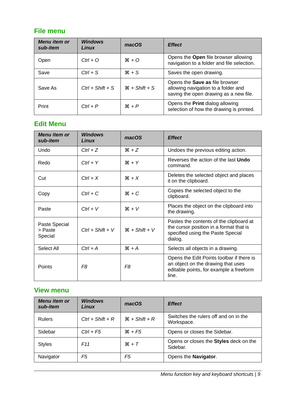#### <span id="page-8-2"></span>**File menu**

| Menu item or<br>sub-item | <b>Windows</b><br>Linux | macOS           | <b>Effect</b>                                                                                                          |
|--------------------------|-------------------------|-----------------|------------------------------------------------------------------------------------------------------------------------|
| Open                     | $Ctrl + O$              | $*$ 0           | Opens the <b>Open</b> file browser allowing<br>navigation to a folder and file selection.                              |
| Save                     | $Ctrl + S$              | $*S$            | Saves the open drawing.                                                                                                |
| Save As                  | $Ctrl + Shift + S$      | $H + Shift + S$ | Opens the <b>Save as</b> file browser<br>allowing navigation to a folder and<br>saving the open drawing as a new file. |
| Print                    | $Ctrl + P$              | $H + P$         | Opens the <b>Print</b> dialog allowing<br>selection of how the drawing is printed.                                     |

#### <span id="page-8-1"></span>**Edit Menu**

| Menu item or<br>sub-item            | <b>Windows</b><br>Linux | macOS                     | <b>Effect</b>                                                                                                                       |
|-------------------------------------|-------------------------|---------------------------|-------------------------------------------------------------------------------------------------------------------------------------|
| Undo                                | $Ctrl + Z$              | $*Z$                      | Undoes the previous editing action.                                                                                                 |
| Redo                                | $Ctrl + Y$              | $H + Y$                   | Reverses the action of the last <b>Undo</b><br>command.                                                                             |
| Cut                                 | $Ctrl + X$              | $* \times$                | Deletes the selected object and places<br>it on the clipboard.                                                                      |
| Copy                                | $Ctrl + C$              | $*C$                      | Copies the selected object to the<br>clipboard.                                                                                     |
| Paste                               | $Ctrl + V$              | $*V$                      | Places the object on the clipboard into<br>the drawing.                                                                             |
| Paste Special<br>> Paste<br>Special | $Ctrl + Shift + V$      | $\mathcal{H}$ + Shift + V | Pastes the contents of the clipboard at<br>the cursor position in a format that is<br>specified using the Paste Special<br>dialog.  |
| Select All                          | $Ctrl + A$              | $# + A$                   | Selects all objects in a drawing.                                                                                                   |
| Points                              | F <sub>8</sub>          | F <sub>8</sub>            | Opens the Edit Points toolbar if there is<br>an object on the drawing that uses<br>editable points, for example a freeform<br>line. |

#### <span id="page-8-0"></span>**View menu**

| <b>Menu</b> item or<br>sub-item | <b>Windows</b><br>Linux | macOS                     | <b>Effect</b>                                       |
|---------------------------------|-------------------------|---------------------------|-----------------------------------------------------|
| <b>Rulers</b>                   | $Ctrl + Shift + R$      | $\mathcal{H}$ + Shift + R | Switches the rulers off and on in the<br>Workspace. |
| Sidebar                         | $Ctrl + F5$             | $*F5$                     | Opens or closes the Sidebar.                        |
| <b>Styles</b>                   | F <sub>11</sub>         | $H + T$                   | Opens or closes the Styles deck on the<br>Sidebar.  |
| Navigator                       | F5                      | F5                        | Opens the <b>Navigator</b> .                        |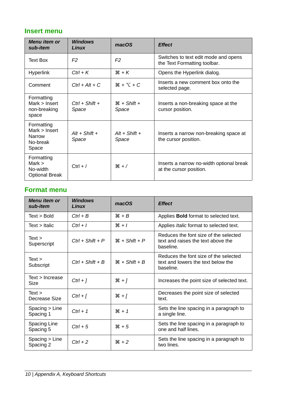#### <span id="page-9-1"></span>**Insert menu**

| Menu item or<br>sub-item                                     | <b>Windows</b><br>Linux   | macOS                    | <b>Effect</b>                                                        |
|--------------------------------------------------------------|---------------------------|--------------------------|----------------------------------------------------------------------|
| Text Box                                                     | F <sub>2</sub>            | F <sub>2</sub>           | Switches to text edit mode and opens<br>the Text Formatting toolbar. |
| <b>Hyperlink</b>                                             | $Ctrl + K$                | $H + K$                  | Opens the Hyperlink dialog.                                          |
| Comment                                                      | $Ctrl + Alt + C$          | $* + \tau + C$           | Inserts a new comment box onto the<br>selected page.                 |
| Formatting<br>$Mark$ > Insert<br>non-breaking<br>space       | $Ctrl + Shift +$<br>Space | $H + Shift +$<br>Space   | Inserts a non-breaking space at the<br>cursor position.              |
| Formatting<br>$Mark$ > Insert<br>Narrow<br>No-break<br>Space | $Alt + Shift +$<br>Space  | $Alt + Shift +$<br>Space | Inserts a narrow non-breaking space at<br>the cursor position.       |
| Formatting<br>Mark $>$<br>No-width<br><b>Optional Break</b>  | $Ctrl + /$                | $*$ /                    | Inserts a narrow no-width optional break<br>at the cursor position.  |

### <span id="page-9-0"></span>**Format menu**

| Menu item or<br>sub-item    | <b>Windows</b><br>Linux | macOS           | <b>Effect</b>                                                                            |
|-----------------------------|-------------------------|-----------------|------------------------------------------------------------------------------------------|
| Text > Bold                 | $Ctrl + B$              | $H + B$         | Applies <b>Bold</b> format to selected text.                                             |
| $Text$ > Italic             | $Ctrl + I$              | $*1$            | Applies <i>Italic</i> format to selected text.                                           |
| Text ><br>Superscript       | $Ctrl + Shift + P$      | $H + Shift + P$ | Reduces the font size of the selected<br>text and raises the text above the<br>baseline. |
| Text ><br>Subscript         | $Ctrl + Shift + B$      | $H + Shift + B$ | Reduces the font size of the selected<br>text and lowers the text below the<br>baseline. |
| Text > Increase<br>Size     | $Ctrl + ]$              | $*1$            | Increases the point size of selected text.                                               |
| Text<br>Decrease Size       | $Ctrl + [$              | $*1 + 36$       | Decreases the point size of selected<br>text.                                            |
| Spacing > Line<br>Spacing 1 | $Ctrl + 1$              | $*1$            | Sets the line spacing in a paragraph to<br>a single line.                                |
| Spacing Line<br>Spacing 5   | $Ctrl + 5$              | $*5$            | Sets the line spacing in a paragraph to<br>one and half lines.                           |
| Spacing > Line<br>Spacing 2 | $Ctrl + 2$              | $*2$            | Sets the line spacing in a paragraph to<br>two lines.                                    |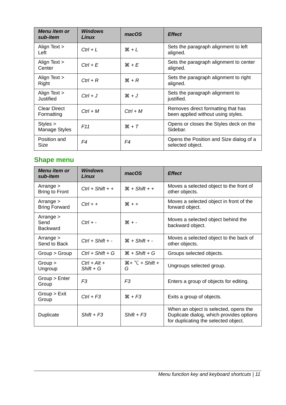| Menu item or<br>sub-item          | <b>Windows</b><br>Linux | macOS             | <b>Effect</b>                                                            |
|-----------------------------------|-------------------------|-------------------|--------------------------------------------------------------------------|
| Align Text ><br>Left              | $Ctrl + L$              | $# + L$           | Sets the paragraph alignment to left<br>aligned.                         |
| Align Text ><br>Center            | $Ctrl + E$              | $H + E$           | Sets the paragraph alignment to center<br>aligned.                       |
| Align Text ><br>Right             | $Ctrl + R$              | $\mathcal{H} + R$ | Sets the paragraph alignment to right<br>aligned.                        |
| Align Text ><br><b>Justified</b>  | $Ctrl + J$              | $*J$              | Sets the paragraph alignment to<br>justified.                            |
| <b>Clear Direct</b><br>Formatting | $Ctrl + M$              | $Ctrl + M$        | Removes direct formatting that has<br>been applied without using styles. |
| Styles ><br>Manage Styles         | F11                     | $H + T$           | Opens or closes the Styles deck on the<br>Sidebar.                       |
| Position and<br>Size              | F4                      | F4                | Opens the Position and Size dialog of a<br>selected object.              |

## <span id="page-10-0"></span>**Shape menu**

| Menu item or<br>sub-item               | <b>Windows</b><br>Linux       | macOS                       | <b>Effect</b>                                                                                                             |
|----------------------------------------|-------------------------------|-----------------------------|---------------------------------------------------------------------------------------------------------------------------|
| Arrange $>$<br><b>Bring to Front</b>   | $Ctrl + Shift + +$            | $\mathcal{H}$ + Shift + +   | Moves a selected object to the front of<br>other objects.                                                                 |
| Arrange $>$<br><b>Bring Forward</b>    | $Ctrl + +$                    | $# + +$                     | Moves a selected object in front of the<br>forward object.                                                                |
| Arrange $>$<br>Send<br><b>Backward</b> | $Ctrl + -$                    | $* -$                       | Moves a selected object behind the<br>backward object.                                                                    |
| Arrange $>$<br>Send to Back            | $Ctrl + Shift + -$            | $H + Shift + -$             | Moves a selected object to the back of<br>other objects.                                                                  |
| Group > Group                          | $Ctrl + Shift + G$            | $H + Shift + G$             | Groups selected objects.                                                                                                  |
| Group ><br>Ungroup                     | $Ctrl + Alt +$<br>$Shift + G$ | $H + \Sigma + Shift +$<br>G | Ungroups selected group.                                                                                                  |
| Group > Enter<br>Group                 | F <sub>3</sub>                | F <sub>3</sub>              | Enters a group of objects for editing.                                                                                    |
| Group > Ext<br>Group                   | $Ctrl + F3$                   | $# + F3$                    | Exits a group of objects.                                                                                                 |
| Duplicate                              | $Shift + F3$                  | $Shift + F3$                | When an object is selected, opens the<br>Duplicate dialog, which provides options<br>for duplicating the selected object. |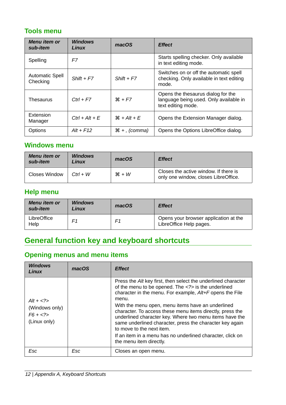### <span id="page-11-4"></span>**Tools menu**

| Menu item or<br>sub-item           | <b>Windows</b><br>Linux | macOS                    | <b>Effect</b>                                                                                      |
|------------------------------------|-------------------------|--------------------------|----------------------------------------------------------------------------------------------------|
| Spelling                           | F7                      |                          | Starts spelling checker. Only available<br>in text editing mode.                                   |
| <b>Automatic Spell</b><br>Checking | $Shift + F7$            | $Shift + F7$             | Switches on or off the automatic spell<br>checking. Only available in text editing<br>mode.        |
| Thesaurus                          | $Ctrl + F7$             | $# + F7$                 | Opens the thesaurus dialog for the<br>language being used. Only available in<br>text editing mode. |
| Extension<br>Manager               | $Ctrl + Alt + E$        | $H + Alt + E$            | Opens the Extension Manager dialog.                                                                |
| Options                            | $Alt + F12$             | $\mathcal{H}$ +, (comma) | Opens the Options LibreOffice dialog.                                                              |

#### <span id="page-11-3"></span>**Windows menu**

| Menu item or<br>sub-item | <b>Windows</b><br>Linux | macOS   | <b>Effect</b>                                                                 |
|--------------------------|-------------------------|---------|-------------------------------------------------------------------------------|
| Closes Window            | $Ctrl + W$              | $*$ + W | Closes the active window. If there is<br>only one window, closes LibreOffice. |

## <span id="page-11-2"></span>**Help menu**

| Menu item or<br>sub-item | <b>Windows</b><br>Linux | macOS | <b>Effect</b>                                                    |
|--------------------------|-------------------------|-------|------------------------------------------------------------------|
| LibreOffice<br>Help      | F1                      | F1    | Opens your browser application at the<br>LibreOffice Help pages. |

## <span id="page-11-1"></span>**General function key and keyboard shortcuts**

## <span id="page-11-0"></span>**Opening menus and menu items**

| <b>Windows</b><br>Linux                                        | macOS | <b>Effect</b>                                                                                                                                                                                                                                                                                                                                                                                                                                                                                                                                        |
|----------------------------------------------------------------|-------|------------------------------------------------------------------------------------------------------------------------------------------------------------------------------------------------------------------------------------------------------------------------------------------------------------------------------------------------------------------------------------------------------------------------------------------------------------------------------------------------------------------------------------------------------|
| $Alt + < ?>$<br>(Windows only)<br>$F6 + \le 2$<br>(Linux only) |       | Press the Alt key first, then select the underlined character<br>of the menu to be opened. The is the underlined<br>character in the menu. For example, Alt+F opens the File<br>menu.<br>With the menu open, menu items have an underlined<br>character. To access these menu items directly, press the<br>underlined character key. Where two menu items have the<br>same underlined character, press the character key again<br>to move to the next item.<br>If an item in a menu has no underlined character, click on<br>the menu item directly. |
| Esc                                                            | Esc   | Closes an open menu.                                                                                                                                                                                                                                                                                                                                                                                                                                                                                                                                 |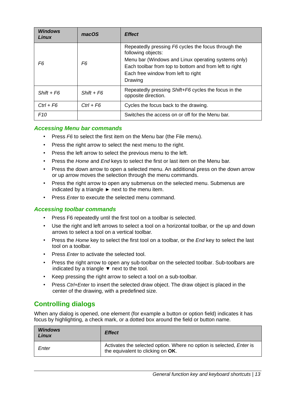| <b>Windows</b><br>Linux | macOS        | <b>Effect</b>                                                                                                                                                                                                                                |
|-------------------------|--------------|----------------------------------------------------------------------------------------------------------------------------------------------------------------------------------------------------------------------------------------------|
| F6                      | F6           | Repeatedly pressing F6 cycles the focus through the<br>following objects:<br>Menu bar (Windows and Linux operating systems only)<br>Each toolbar from top to bottom and from left to right<br>Each free window from left to right<br>Drawing |
| $Shift + F6$            | $Shift + F6$ | Repeatedly pressing Shift+F6 cycles the focus in the<br>opposite direction.                                                                                                                                                                  |
| $Ctrl + F6$             | $Ctrl + F6$  | Cycles the focus back to the drawing.                                                                                                                                                                                                        |
| F10                     |              | Switches the access on or off for the Menu bar.                                                                                                                                                                                              |

#### <span id="page-12-2"></span>*Accessing Menu bar commands*

- Press *F6* to select the first item on the Menu bar (the File menu).
- Press the right arrow to select the next menu to the right.
- Press the left arrow to select the previous menu to the left.
- Press the *Home* and *End* keys to select the first or last item on the Menu bar.
- Press the down arrow to open a selected menu. An additional press on the down arrow or up arrow moves the selection through the menu commands.
- Press the right arrow to open any submenus on the selected menu. Submenus are indicated by a triangle  $\blacktriangleright$  next to the menu item.
- Press *Enter* to execute the selected menu command.

#### <span id="page-12-1"></span>*Accessing toolbar commands*

- Press F6 repeatedly until the first tool on a toolbar is selected.
- Use the right and left arrows to select a tool on a horizontal toolbar, or the up and down arrows to select a tool on a vertical toolbar.
- Press the *Home* key to select the first tool on a toolbar, or the *End* key to select the last tool on a toolbar.
- Press *Enter* to activate the selected tool.
- Press the right arrow to open any sub-toolbar on the selected toolbar. Sub-toolbars are indicated by a triangle  $\blacktriangledown$  next to the tool.
- Keep pressing the right arrow to select a tool on a sub-toolbar.
- Press *Ctrl+Enter* to insert the selected draw object. The draw object is placed in the center of the drawing, with a predefined size.

#### <span id="page-12-0"></span>**Controlling dialogs**

When any dialog is opened, one element (for example a button or option field) indicates it has focus by highlighting, a check mark, or a dotted box around the field or button name.

| <b>Windows</b><br>Linux | <b>Effect</b>                                                                                                    |
|-------------------------|------------------------------------------------------------------------------------------------------------------|
| Enter                   | Activates the selected option. Where no option is selected, <i>Enter</i> is<br>the equivalent to clicking on OK. |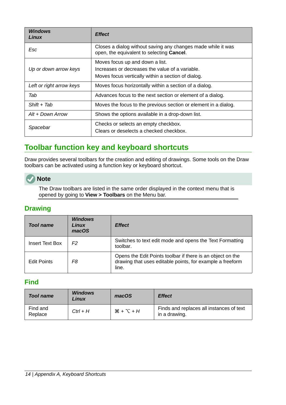| <b>Windows</b><br>Linux  | <b>Effect</b>                                                                                                                            |
|--------------------------|------------------------------------------------------------------------------------------------------------------------------------------|
| Esc                      | Closes a dialog without saving any changes made while it was<br>open, the equivalent to selecting Cancel.                                |
| Up or down arrow keys    | Moves focus up and down a list.<br>Increases or decreases the value of a variable.<br>Moves focus vertically within a section of dialog. |
| Left or right arrow keys | Moves focus horizontally within a section of a dialog.                                                                                   |
| Tab                      | Advances focus to the next section or element of a dialog.                                                                               |
| $Shift + Tab$            | Moves the focus to the previous section or element in a dialog.                                                                          |
| Alt + Down Arrow         | Shows the options available in a drop-down list.                                                                                         |
| Spacebar                 | Checks or selects an empty checkbox.<br>Clears or deselects a checked checkbox.                                                          |

## <span id="page-13-2"></span>**Toolbar function key and keyboard shortcuts**

Draw provides several toolbars for the creation and editing of drawings. Some tools on the Draw toolbars can be activated using a function key or keyboard shortcut.

#### **Note**

The Draw toolbars are listed in the same order displayed in the context menu that is opened by going to **View > Toolbars** on the Menu bar.

#### <span id="page-13-1"></span>**Drawing**

| Tool name              | <b>Windows</b><br><b>Linux</b><br>macOS | <b>Effect</b>                                                                                                                    |
|------------------------|-----------------------------------------|----------------------------------------------------------------------------------------------------------------------------------|
| <b>Insert Text Box</b> | F2                                      | Switches to text edit mode and opens the Text Formatting<br>toolbar.                                                             |
| <b>Edit Points</b>     | F8                                      | Opens the Edit Points toolbar if there is an object on the<br>drawing that uses editable points, for example a freeform<br>line. |

#### <span id="page-13-0"></span>**Find**

| <b>Tool name</b>    | <b>Windows</b><br>Linux | macOS            | <b>Effect</b>                                             |
|---------------------|-------------------------|------------------|-----------------------------------------------------------|
| Find and<br>Replace | $Ctrl + H$              | $H + \nabla + H$ | Finds and replaces all instances of text<br>in a drawing. |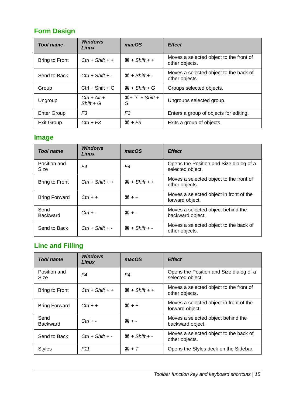## <span id="page-14-2"></span>**Form Design**

| <b>Tool name</b>   | <b>Windows</b><br>Linux       | macOS                       | <b>Effect</b>                                             |
|--------------------|-------------------------------|-----------------------------|-----------------------------------------------------------|
| Bring to Front     | $Ctrl + Shift + +$            | $H + Shift + +$             | Moves a selected object to the front of<br>other objects. |
| Send to Back       | $Ctrl + Shift + -$            | $H + Shift + -$             | Moves a selected object to the back of<br>other objects.  |
| Group              | $Ctrl + Shift + G$            | $\mathcal{H}$ + Shift + G   | Groups selected objects.                                  |
| Ungroup            | $Ctrl + Alt +$<br>$Shift + G$ | $H + \Sigma + Shift +$<br>G | Ungroups selected group.                                  |
| <b>Enter Group</b> | F <sub>3</sub>                | F3                          | Enters a group of objects for editing.                    |
| Exit Group         | $Ctrl + F3$                   | $*F3$                       | Exits a group of objects.                                 |

## <span id="page-14-1"></span>**Image**

| <b>Tool name</b>            | <b>Windows</b><br>Linux | macOS           | <b>Effect</b>                                               |
|-----------------------------|-------------------------|-----------------|-------------------------------------------------------------|
| Position and<br><b>Size</b> | F4                      | F4              | Opens the Position and Size dialog of a<br>selected object. |
| <b>Bring to Front</b>       | $Ctrl + Shift + +$      | $H + Shift + +$ | Moves a selected object to the front of<br>other objects.   |
| <b>Bring Forward</b>        | $Ctrl + +$              | $* +$           | Moves a selected object in front of the<br>forward object.  |
| Send<br><b>Backward</b>     | $Ctrl + -$              | $* -$           | Moves a selected object behind the<br>backward object.      |
| Send to Back                | $Ctrl + Shift + -$      | $H + Shift + -$ | Moves a selected object to the back of<br>other objects.    |

## <span id="page-14-0"></span>**Line and Filling**

| <b>Tool name</b>        | <b>Windows</b><br><b>Linux</b> | macOS                     | <b>Effect</b>                                               |
|-------------------------|--------------------------------|---------------------------|-------------------------------------------------------------|
| Position and<br>Size    | F4                             | F4                        | Opens the Position and Size dialog of a<br>selected object. |
| <b>Bring to Front</b>   | $Ctrl + Shift + +$             | $\mathcal{H}$ + Shift + + | Moves a selected object to the front of<br>other objects.   |
| <b>Bring Forward</b>    | $Ctrl + +$                     | $* + +$                   | Moves a selected object in front of the<br>forward object.  |
| Send<br><b>Backward</b> | $Ctrl + -$                     | $* -$                     | Moves a selected object behind the<br>backward object.      |
| Send to Back            | $Ctrl + Shift + -$             | $H + Shift + -$           | Moves a selected object to the back of<br>other objects.    |
| <b>Styles</b>           | F <sub>11</sub>                | $H + T$                   | Opens the Styles deck on the Sidebar.                       |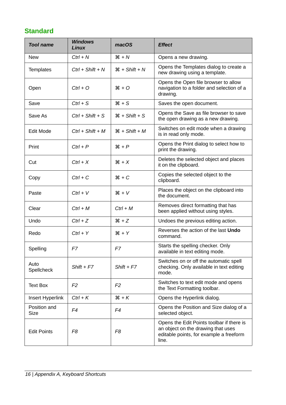## <span id="page-15-0"></span>**Standard**

| <b>Tool name</b>            | <b>Windows</b><br>Linux | macOS                     | <b>Effect</b>                                                                                                                       |
|-----------------------------|-------------------------|---------------------------|-------------------------------------------------------------------------------------------------------------------------------------|
| <b>New</b>                  | $Ctrl + N$              | $H + N$                   | Opens a new drawing.                                                                                                                |
| <b>Templates</b>            | $Ctrl + Shift + N$      | $H + Shift + N$           | Opens the Templates dialog to create a<br>new drawing using a template.                                                             |
| Open                        | $Ctrl + O$              | $*$ 0                     | Opens the Open file browser to allow<br>navigation to a folder and selection of a<br>drawing.                                       |
| Save                        | $Ctrl + S$              | $*S$                      | Saves the open document.                                                                                                            |
| Save As                     | $Ctrl + Shift + S$      | $\mathcal{H}$ + Shift + S | Opens the Save as file browser to save<br>the open drawing as a new drawing.                                                        |
| Edit Mode                   | $Ctrl + Shift + M$      | $H + Shift + M$           | Switches on edit mode when a drawing<br>is in read only mode.                                                                       |
| Print                       | $Ctrl + P$              | $H + P$                   | Opens the Print dialog to select how to<br>print the drawing.                                                                       |
| Cut                         | $Ctrl + X$              | $*X$                      | Deletes the selected object and places<br>it on the clipboard.                                                                      |
| Copy                        | $Ctrl + C$              | $*C$                      | Copies the selected object to the<br>clipboard.                                                                                     |
| Paste                       | $Ctrl + V$              | $*V$                      | Places the object on the clipboard into<br>the document.                                                                            |
| Clear                       | $Ctrl + M$              | $Ctrl + M$                | Removes direct formatting that has<br>been applied without using styles.                                                            |
| Undo                        | $Ctrl + Z$              | $*Z$                      | Undoes the previous editing action.                                                                                                 |
| Redo                        | $Ctrl + Y$              | $*Y$                      | Reverses the action of the last Undo<br>command.                                                                                    |
| Spelling                    | F7                      | F7                        | Starts the spelling checker. Only<br>available in text editing mode.                                                                |
| Auto<br>Spellcheck          | $Shift + F7$            | $Shift + F7$              | Switches on or off the automatic spell<br>checking. Only available in text editing<br>mode.                                         |
| <b>Text Box</b>             | F <sub>2</sub>          | F <sub>2</sub>            | Switches to text edit mode and opens<br>the Text Formatting toolbar.                                                                |
| Insert Hyperlink            | $Ctrl + K$              | $H + K$                   | Opens the Hyperlink dialog.                                                                                                         |
| Position and<br><b>Size</b> | F4                      | F4                        | Opens the Position and Size dialog of a<br>selected object.                                                                         |
| <b>Edit Points</b>          | F <sub>8</sub>          | F <sub>8</sub>            | Opens the Edit Points toolbar if there is<br>an object on the drawing that uses<br>editable points, for example a freeform<br>line. |